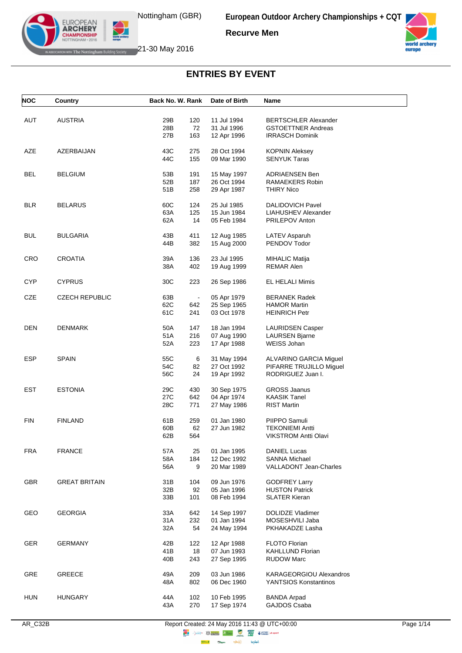**Recurve Men**



EUROPEAN<br>**ARCHERY CHAMPIONSHIP ATTH Nottingham Building Society** 21-30 May 2016

| <b>NOC</b> | Country               | Back No. W. Rank        | Date of Birth              | Name                                          |  |
|------------|-----------------------|-------------------------|----------------------------|-----------------------------------------------|--|
|            |                       |                         |                            |                                               |  |
| AUT        | <b>AUSTRIA</b>        | 29B<br>120              | 11 Jul 1994                | <b>BERTSCHLER Alexander</b>                   |  |
|            |                       | 72<br>28B               | 31 Jul 1996                | <b>GSTOETTNER Andreas</b>                     |  |
|            |                       | 27B<br>163              | 12 Apr 1996                | <b>IRRASCH Dominik</b>                        |  |
|            |                       |                         |                            |                                               |  |
| AZE        | AZERBAIJAN            | 43C<br>275              | 28 Oct 1994                | <b>KOPNIN Aleksey</b>                         |  |
|            |                       | 44C<br>155              | 09 Mar 1990                | <b>SENYUK Taras</b>                           |  |
|            |                       |                         |                            |                                               |  |
| <b>BEL</b> | <b>BELGIUM</b>        | 53B<br>191              | 15 May 1997                | ADRIAENSEN Ben                                |  |
|            |                       | 187<br>52B              | 26 Oct 1994                | RAMAEKERS Robin                               |  |
|            |                       | 51B<br>258              | 29 Apr 1987                | <b>THIRY Nico</b>                             |  |
|            |                       |                         |                            |                                               |  |
| <b>BLR</b> | <b>BELARUS</b>        | 60C<br>124              | 25 Jul 1985                | <b>DALIDOVICH Pavel</b>                       |  |
|            |                       | 63A<br>125<br>14<br>62A | 15 Jun 1984<br>05 Feb 1984 | LIAHUSHEV Alexander<br><b>PRILEPOV Anton</b>  |  |
|            |                       |                         |                            |                                               |  |
| <b>BUL</b> | <b>BULGARIA</b>       | 43B<br>411              | 12 Aug 1985                | LATEV Asparuh                                 |  |
|            |                       | 44B<br>382              | 15 Aug 2000                | PENDOV Todor                                  |  |
|            |                       |                         |                            |                                               |  |
| <b>CRO</b> | <b>CROATIA</b>        | 39A<br>136              | 23 Jul 1995                | <b>MIHALIC Matija</b>                         |  |
|            |                       | 38A<br>402              | 19 Aug 1999                | REMAR Alen                                    |  |
|            |                       |                         |                            |                                               |  |
| <b>CYP</b> | <b>CYPRUS</b>         | 30C<br>223              | 26 Sep 1986                | EL HELALI Mimis                               |  |
|            |                       |                         |                            |                                               |  |
| CZE        | <b>CZECH REPUBLIC</b> | 63B<br>$\Box$           | 05 Apr 1979                | <b>BERANEK Radek</b>                          |  |
|            |                       | 62C<br>642              | 25 Sep 1965                | <b>HAMOR Martin</b>                           |  |
|            |                       | 241<br>61C              | 03 Oct 1978                | <b>HEINRICH Petr</b>                          |  |
|            |                       |                         |                            |                                               |  |
| <b>DEN</b> | <b>DENMARK</b>        | 50A<br>147              | 18 Jan 1994                | <b>LAURIDSEN Casper</b>                       |  |
|            |                       | 216<br>51A              | 07 Aug 1990                | <b>LAURSEN Bjarne</b>                         |  |
|            |                       | 52A<br>223              | 17 Apr 1988                | WEISS Johan                                   |  |
| ESP        | <b>SPAIN</b>          | 55C<br>6                | 31 May 1994                | ALVARINO GARCIA Miguel                        |  |
|            |                       | 54C<br>82               | 27 Oct 1992                | PIFARRE TRUJILLO Miguel                       |  |
|            |                       | 56C<br>24               | 19 Apr 1992                | RODRIGUEZ Juan I.                             |  |
|            |                       |                         |                            |                                               |  |
| <b>EST</b> | <b>ESTONIA</b>        | 430<br>29C              | 30 Sep 1975                | <b>GROSS Jaanus</b>                           |  |
|            |                       | 642<br>27C              | 04 Apr 1974                | <b>KAASIK Tanel</b>                           |  |
|            |                       | 28C<br>771              | 27 May 1986                | <b>RIST Martin</b>                            |  |
|            |                       |                         |                            |                                               |  |
| <b>FIN</b> | <b>FINLAND</b>        | 61B<br>259              | 01 Jan 1980                | PIIPPO Samuli                                 |  |
|            |                       | 62<br>60B               | 27 Jun 1982                | <b>TEKONIEMI Antti</b>                        |  |
|            |                       | 62B<br>564              |                            | <b>VIKSTROM Antti Olavi</b>                   |  |
|            |                       |                         |                            |                                               |  |
| <b>FRA</b> | <b>FRANCE</b>         | 57A<br>25               | 01 Jan 1995                | <b>DANIEL Lucas</b>                           |  |
|            |                       | 58A<br>184              | 12 Dec 1992                | SANNA Michael                                 |  |
|            |                       | 56A<br>9                | 20 Mar 1989                | VALLADONT Jean-Charles                        |  |
| <b>GBR</b> | <b>GREAT BRITAIN</b>  | 104                     | 09 Jun 1976                |                                               |  |
|            |                       | 31 B<br>92<br>32B       | 05 Jan 1996                | <b>GODFREY Larry</b><br><b>HUSTON Patrick</b> |  |
|            |                       | 33B<br>101              | 08 Feb 1994                | <b>SLATER Kieran</b>                          |  |
|            |                       |                         |                            |                                               |  |
| GEO        | <b>GEORGIA</b>        | 33A<br>642              | 14 Sep 1997                | <b>DOLIDZE Vladimer</b>                       |  |
|            |                       | 31A<br>232              | 01 Jan 1994                | MOSESHVILI Jaba                               |  |
|            |                       | 32A<br>54               | 24 May 1994                | PKHAKADZE Lasha                               |  |
|            |                       |                         |                            |                                               |  |
| <b>GER</b> | <b>GERMANY</b>        | 42B<br>122              | 12 Apr 1988                | FLOTO Florian                                 |  |
|            |                       | 41 B<br>18              | 07 Jun 1993                | <b>KAHLLUND Florian</b>                       |  |
|            |                       | 40B<br>243              | 27 Sep 1995                | <b>RUDOW Marc</b>                             |  |
|            |                       |                         |                            |                                               |  |
| GRE        | <b>GREECE</b>         | 49A<br>209              | 03 Jun 1986                | <b>KARAGEORGIOU Alexandros</b>                |  |
|            |                       | 802<br>48A              | 06 Dec 1960                | YANTSIOS Konstantinos                         |  |
|            |                       |                         |                            |                                               |  |
| <b>HUN</b> | <b>HUNGARY</b>        | 44 A<br>102             | 10 Feb 1995                | <b>BANDA Arpad</b>                            |  |
|            |                       | 43A<br>270              | 17 Sep 1974                | GAJDOS Csaba                                  |  |
|            |                       |                         |                            |                                               |  |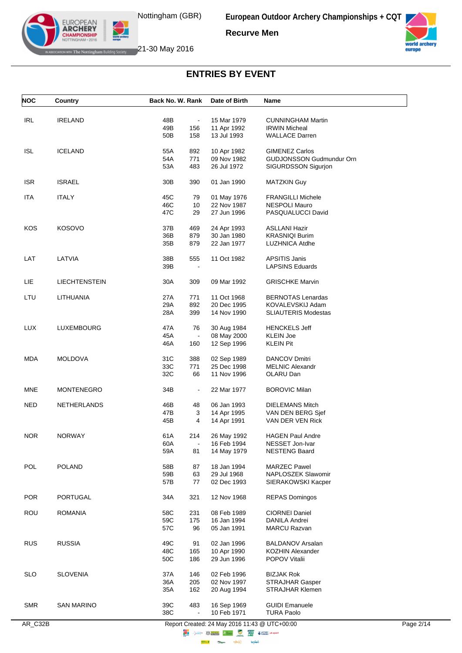



EUROPEAN<br>**ARCHERY CHAMPIONSHIP EXAMPLE The Nottingham Building Society** 21-30 May 2016

| <b>NOC</b> | <b>Country</b>       | Back No. W. Rank                    | Date of Birth              | Name                                             |  |
|------------|----------------------|-------------------------------------|----------------------------|--------------------------------------------------|--|
|            |                      |                                     |                            |                                                  |  |
| <b>IRL</b> | <b>IRELAND</b>       | 48B<br>$\blacksquare$<br>49B<br>156 | 15 Mar 1979<br>11 Apr 1992 | <b>CUNNINGHAM Martin</b><br><b>IRWIN Micheal</b> |  |
|            |                      | 50B<br>158                          | 13 Jul 1993                | <b>WALLACE Darren</b>                            |  |
|            |                      |                                     |                            |                                                  |  |
| <b>ISL</b> | <b>ICELAND</b>       | 55A<br>892                          | 10 Apr 1982                | GIMENEZ Carlos                                   |  |
|            |                      | 54A<br>771                          | 09 Nov 1982                | GUDJONSSON Gudmundur Orn                         |  |
|            |                      | 53A<br>483                          | 26 Jul 1972                | SIGURDSSON Sigurjon                              |  |
| <b>ISR</b> | <b>ISRAEL</b>        | 30 <sub>B</sub><br>390              | 01 Jan 1990                | <b>MATZKIN Guy</b>                               |  |
| <b>ITA</b> | <b>ITALY</b>         | 45C<br>79                           | 01 May 1976                | <b>FRANGILLI Michele</b>                         |  |
|            |                      | 46C<br>10                           | 22 Nov 1987                | <b>NESPOLI Mauro</b>                             |  |
|            |                      | 47C<br>29                           | 27 Jun 1996                | PASQUALUCCI David                                |  |
| KOS        | <b>KOSOVO</b>        | 37B<br>469                          | 24 Apr 1993                | <b>ASLLANI Hazir</b>                             |  |
|            |                      | 36B<br>879                          | 30 Jan 1980                | <b>KRASNIQI Burim</b>                            |  |
|            |                      | 35B<br>879                          | 22 Jan 1977                | LUZHNICA Atdhe                                   |  |
| LAT        | LATVIA               | 38B<br>555                          | 11 Oct 1982                | <b>APSITIS Janis</b>                             |  |
|            |                      | 39B                                 |                            | <b>LAPSINS Eduards</b>                           |  |
|            |                      |                                     |                            |                                                  |  |
| LIE        | <b>LIECHTENSTEIN</b> | 30A<br>309                          | 09 Mar 1992                | <b>GRISCHKE Marvin</b>                           |  |
| LTU        | LITHUANIA            | 27A<br>771                          | 11 Oct 1968                | <b>BERNOTAS Lenardas</b>                         |  |
|            |                      | 892<br>29A                          | 20 Dec 1995                | KOVALEVSKIJ Adam                                 |  |
|            |                      | 28A<br>399                          | 14 Nov 1990                | <b>SLIAUTERIS Modestas</b>                       |  |
| <b>LUX</b> | LUXEMBOURG           | 47A<br>76                           | 30 Aug 1984                | <b>HENCKELS Jeff</b>                             |  |
|            |                      | 45A                                 | 08 May 2000                | <b>KLEIN Joe</b>                                 |  |
|            |                      | 46A<br>160                          | 12 Sep 1996                | <b>KLEIN Pit</b>                                 |  |
| <b>MDA</b> | <b>MOLDOVA</b>       | 31C<br>388                          | 02 Sep 1989                | <b>DANCOV Dmitri</b>                             |  |
|            |                      | 33C<br>771                          | 25 Dec 1998                | <b>MELNIC Alexandr</b>                           |  |
|            |                      | 32C<br>66                           | 11 Nov 1996                | OLARU Dan                                        |  |
| MNE        | <b>MONTENEGRO</b>    | 34B<br>$\blacksquare$               | 22 Mar 1977                | <b>BOROVIC Milan</b>                             |  |
| <b>NED</b> | <b>NETHERLANDS</b>   | 46B<br>48                           | 06 Jan 1993                | <b>DIELEMANS Mitch</b>                           |  |
|            |                      | 47B<br>3                            | 14 Apr 1995                | VAN DEN BERG Sjef                                |  |
|            |                      | 45B<br>4                            | 14 Apr 1991                | VAN DER VEN Rick                                 |  |
| NOR        | <b>NORWAY</b>        | 61A<br>214                          | 26 May 1992                | <b>HAGEN Paul Andre</b>                          |  |
|            |                      | 60A<br>$\overline{a}$               | 16 Feb 1994                | NESSET Jon-Ivar                                  |  |
|            |                      | 59A<br>81                           | 14 May 1979                | <b>NESTENG Baard</b>                             |  |
| POL        | <b>POLAND</b>        | 58B<br>87                           | 18 Jan 1994                | <b>MARZEC Pawel</b>                              |  |
|            |                      | 59B<br>63                           | 29 Jul 1968                | NAPLOSZEK Slawomir                               |  |
|            |                      | 57B<br>77                           | 02 Dec 1993                | SIERAKOWSKI Kacper                               |  |
| <b>POR</b> | PORTUGAL             | 34A<br>321                          | 12 Nov 1968                | <b>REPAS Domingos</b>                            |  |
| ROU        | <b>ROMANIA</b>       | 58C<br>231                          | 08 Feb 1989                | <b>CIORNEI Daniel</b>                            |  |
|            |                      | 59C<br>175                          | 16 Jan 1994                | DANILA Andrei                                    |  |
|            |                      | 57C<br>96                           | 05 Jan 1991                | <b>MARCU Razvan</b>                              |  |
|            | <b>RUSSIA</b>        |                                     |                            |                                                  |  |
| <b>RUS</b> |                      | 49C<br>91<br>48C<br>165             | 02 Jan 1996<br>10 Apr 1990 | <b>BALDANOV Arsalan</b><br>KOZHIN Alexander      |  |
|            |                      | 50C<br>186                          | 29 Jun 1996                | POPOV Vitalii                                    |  |
|            |                      |                                     |                            |                                                  |  |
| <b>SLO</b> | <b>SLOVENIA</b>      | 37A<br>146                          | 02 Feb 1996                | <b>BIZJAK Rok</b>                                |  |
|            |                      | 36A<br>205<br>35A<br>162            | 02 Nov 1997<br>20 Aug 1994 | <b>STRAJHAR Gasper</b><br>STRAJHAR Klemen        |  |
|            |                      |                                     |                            |                                                  |  |
| <b>SMR</b> | SAN MARINO           | 39C<br>483                          | 16 Sep 1969                | <b>GUIDI Emanuele</b>                            |  |
|            |                      | 38C<br>$\blacksquare$               | 10 Feb 1971                | <b>TURA Paolo</b>                                |  |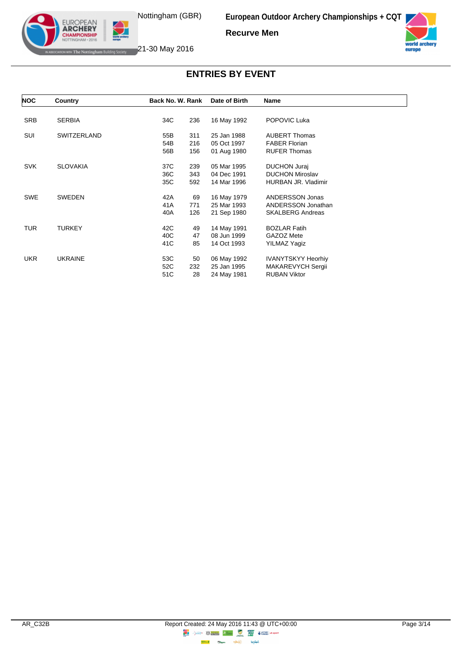**Recurve Men**



EUROPEAN<br>**ARCHERY CHAMPIONSHIP ATTH Nottingham Building Society** 21-30 May 2016

| <b>NOC</b> | Country            | Back No. W. Rank | Date of Birth | Name                      |
|------------|--------------------|------------------|---------------|---------------------------|
|            |                    |                  |               |                           |
| <b>SRB</b> | <b>SERBIA</b>      | 236<br>34C       | 16 May 1992   | POPOVIC Luka              |
| SUI        | <b>SWITZERLAND</b> | 311<br>55B       | 25 Jan 1988   | <b>AUBERT Thomas</b>      |
|            |                    | 54B<br>216       | 05 Oct 1997   | <b>FABER Florian</b>      |
|            |                    | 56B<br>156       | 01 Aug 1980   | <b>RUFER Thomas</b>       |
| <b>SVK</b> | <b>SLOVAKIA</b>    | 37C<br>239       | 05 Mar 1995   | DUCHON Juraj              |
|            |                    | 36C<br>343       | 04 Dec 1991   | <b>DUCHON Miroslav</b>    |
|            |                    | 35C<br>592       | 14 Mar 1996   | HURBAN JR. Vladimir       |
| <b>SWE</b> | <b>SWEDEN</b>      | 69<br>42A        | 16 May 1979   | ANDERSSON Jonas           |
|            |                    | 41A<br>771       | 25 Mar 1993   | ANDERSSON Jonathan        |
|            |                    | 126<br>40A       | 21 Sep 1980   | <b>SKALBERG Andreas</b>   |
| <b>TUR</b> | <b>TURKEY</b>      | 42C<br>49        | 14 May 1991   | <b>BOZLAR Fatih</b>       |
|            |                    | 40C<br>47        | 08 Jun 1999   | GAZOZ Mete                |
|            |                    | 85<br>41C        | 14 Oct 1993   | YILMAZ Yagiz              |
| <b>UKR</b> | <b>UKRAINE</b>     | 53C<br>50        | 06 May 1992   | <b>IVANYTSKYY Heorhiy</b> |
|            |                    | 52C<br>232       | 25 Jan 1995   | MAKAREVYCH Sergii         |
|            |                    | 28<br>51C        | 24 May 1981   | <b>RUBAN Viktor</b>       |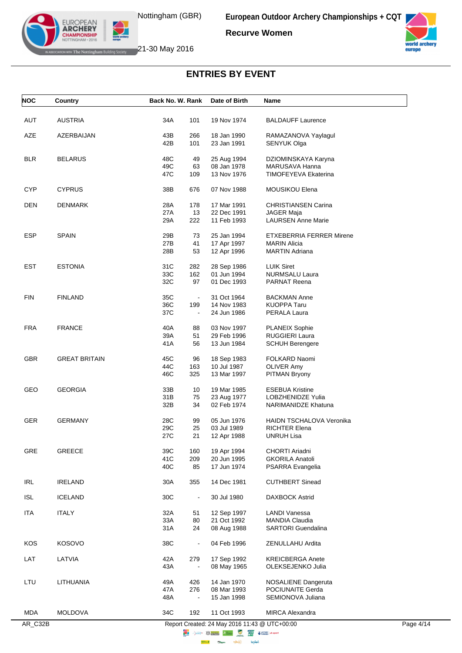**Recurve Women**



EUROPEAN<br>**ARCHERY** ┚ **CHAMPIONSHIP** IAM · 2016 **EXERUTE The Nottingham Building Society 21-30 May 2016** 

| <b>NOC</b> | Country              | Back No. W. Rank         | Date of Birth              | Name                                          |           |
|------------|----------------------|--------------------------|----------------------------|-----------------------------------------------|-----------|
| AUT        | <b>AUSTRIA</b>       | 34A<br>101               | 19 Nov 1974                | <b>BALDAUFF Laurence</b>                      |           |
|            |                      |                          |                            |                                               |           |
| AZE        | AZERBAIJAN           | 43B<br>266<br>42B<br>101 | 18 Jan 1990<br>23 Jan 1991 | RAMAZANOVA Yaylagul<br><b>SENYUK Olga</b>     |           |
| <b>BLR</b> | <b>BELARUS</b>       | 48C<br>49                | 25 Aug 1994                | DZIOMINSKAYA Karyna                           |           |
|            |                      | 49C<br>63                | 08 Jan 1978                | MARUSAVA Hanna                                |           |
|            |                      | 47C<br>109               | 13 Nov 1976                | <b>TIMOFEYEVA Ekaterina</b>                   |           |
| <b>CYP</b> | <b>CYPRUS</b>        | 38B<br>676               | 07 Nov 1988                | MOUSIKOU Elena                                |           |
| <b>DEN</b> | <b>DENMARK</b>       | 28A<br>178               | 17 Mar 1991                | <b>CHRISTIANSEN Carina</b>                    |           |
|            |                      | 27A<br>13                | 22 Dec 1991                | <b>JAGER Maja</b>                             |           |
|            |                      | 29A<br>222               | 11 Feb 1993                | <b>LAURSEN Anne Marie</b>                     |           |
| <b>ESP</b> | <b>SPAIN</b>         | 29B<br>73                | 25 Jan 1994                | <b>ETXEBERRIA FERRER Mirene</b>               |           |
|            |                      | 27B<br>41                | 17 Apr 1997                | <b>MARIN Alicia</b>                           |           |
|            |                      | 28B<br>53                | 12 Apr 1996                | <b>MARTIN Adriana</b>                         |           |
| <b>EST</b> | <b>ESTONIA</b>       | 31C<br>282               | 28 Sep 1986                | <b>LUIK Siret</b>                             |           |
|            |                      | 33C<br>162               | 01 Jun 1994                | NURMSALU Laura                                |           |
|            |                      | 32C<br>97                | 01 Dec 1993                | <b>PARNAT Reena</b>                           |           |
| <b>FIN</b> | <b>FINLAND</b>       | 35C<br>$\blacksquare$    | 31 Oct 1964                | <b>BACKMAN Anne</b>                           |           |
|            |                      | 36C<br>199               | 14 Nov 1983                | <b>KUOPPA Taru</b>                            |           |
|            |                      | 37C<br>$\blacksquare$    | 24 Jun 1986                | PERALA Laura                                  |           |
| <b>FRA</b> | <b>FRANCE</b>        | 40A<br>88                | 03 Nov 1997                | <b>PLANEIX Sophie</b>                         |           |
|            |                      | 39A<br>51                | 29 Feb 1996                | RUGGIERI Laura                                |           |
|            |                      | 41 A<br>56               | 13 Jun 1984                | <b>SCHUH Berengere</b>                        |           |
| GBR        | <b>GREAT BRITAIN</b> | 45C<br>96                | 18 Sep 1983                | FOLKARD Naomi                                 |           |
|            |                      | 44C<br>163               | 10 Jul 1987                | <b>OLIVER Amy</b>                             |           |
|            |                      | 46C<br>325               | 13 Mar 1997                | PITMAN Bryony                                 |           |
| GEO        | <b>GEORGIA</b>       | 33B<br>10                | 19 Mar 1985                | <b>ESEBUA Kristine</b>                        |           |
|            |                      | 31B<br>75                | 23 Aug 1977                | LOBZHENIDZE Yulia                             |           |
|            |                      | 32B<br>34                | 02 Feb 1974                | NARIMANIDZE Khatuna                           |           |
| <b>GER</b> | <b>GERMANY</b>       | 28C<br>99                | 05 Jun 1976                | <b>HAIDN TSCHALOVA Veronika</b>               |           |
|            |                      | 29C<br>25                | 03 Jul 1989                | <b>RICHTER Elena</b>                          |           |
|            |                      | 27C<br>21                | 12 Apr 1988                | <b>UNRUH Lisa</b>                             |           |
| GRE        | GREECE               | 39C<br>160               | 19 Apr 1994                | CHORTI Ariadni                                |           |
|            |                      | 41C<br>209               | 20 Jun 1995                | <b>GKORILA Anatoli</b>                        |           |
|            |                      | 40C<br>85                | 17 Jun 1974                | PSARRA Evangelia                              |           |
| IRL        | <b>IRELAND</b>       | 30A<br>355               | 14 Dec 1981                | <b>CUTHBERT Sinead</b>                        |           |
| <b>ISL</b> | <b>ICELAND</b>       | 30C<br>$\blacksquare$    | 30 Jul 1980                | <b>DAXBOCK Astrid</b>                         |           |
| <b>ITA</b> | <b>ITALY</b>         | 32A<br>51                | 12 Sep 1997                | <b>LANDI Vanessa</b>                          |           |
|            |                      | 33A<br>80                | 21 Oct 1992                | MANDIA Claudia                                |           |
|            |                      | 31A<br>24                | 08 Aug 1988                | <b>SARTORI</b> Guendalina                     |           |
| KOS        | <b>KOSOVO</b>        | 38C                      | 04 Feb 1996                | ZENULLAHU Ardita                              |           |
| LAT        | LATVIA               | 42A<br>279               | 17 Sep 1992                | <b>KREICBERGA Anete</b>                       |           |
|            |                      | 43A                      | 08 May 1965                | OLEKSEJENKO Julia                             |           |
| LTU        | LITHUANIA            | 49A<br>426               | 14 Jan 1970                | <b>NOSALIENE Dangeruta</b>                    |           |
|            |                      | 47A<br>276               | 08 Mar 1993                | POCIUNAITE Gerda                              |           |
|            |                      | 48A                      | 15 Jan 1998                | SEMIONOVA Juliana                             |           |
| MDA        | <b>MOLDOVA</b>       | 34C<br>192               | 11 Oct 1993                | MIRCA Alexandra                               |           |
|            |                      |                          |                            | Report Created: 24 May 2016 11:43 @ UTC+00:00 | Page 4/14 |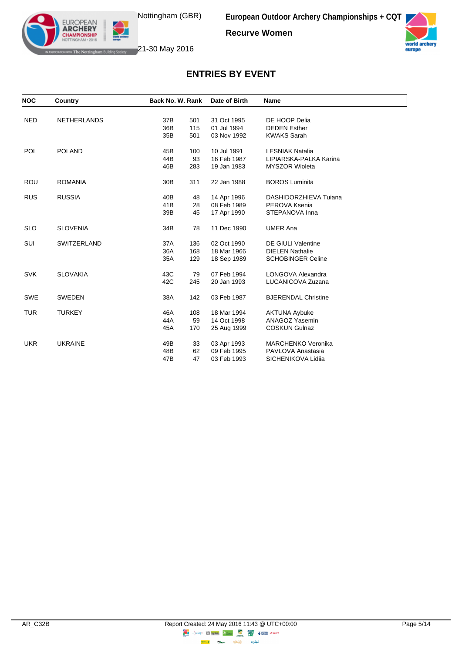**Recurve Women**



EUROPEAN<br>**ARCHERY CHAMPIONSHIP ATTH Nottingham Building Society** 21-30 May 2016

| <b>NOC</b> | Country            | Back No. W. Rank       | Date of Birth | <b>Name</b>                |  |
|------------|--------------------|------------------------|---------------|----------------------------|--|
|            |                    |                        |               |                            |  |
| <b>NED</b> | <b>NETHERLANDS</b> | 37B<br>501             | 31 Oct 1995   | DE HOOP Delia              |  |
|            |                    | 36B<br>115             | 01 Jul 1994   | <b>DEDEN Esther</b>        |  |
|            |                    | 35B<br>501             | 03 Nov 1992   | <b>KWAKS Sarah</b>         |  |
| <b>POL</b> | <b>POLAND</b>      | 45B<br>100             | 10 Jul 1991   | <b>LESNIAK Natalia</b>     |  |
|            |                    | 44B<br>93              | 16 Feb 1987   | LIPIARSKA-PALKA Karina     |  |
|            |                    | 46B<br>283             | 19 Jan 1983   | <b>MYSZOR Wioleta</b>      |  |
| <b>ROU</b> | <b>ROMANIA</b>     | 30 <sub>B</sub><br>311 | 22 Jan 1988   | <b>BOROS Luminita</b>      |  |
| <b>RUS</b> | <b>RUSSIA</b>      | 40B<br>48              | 14 Apr 1996   | DASHIDORZHIEVA Tujana      |  |
|            |                    | 41B<br>28              | 08 Feb 1989   | PEROVA Ksenia              |  |
|            |                    | 39B<br>45              | 17 Apr 1990   | STEPANOVA Inna             |  |
| <b>SLO</b> | <b>SLOVENIA</b>    | 34B<br>78              | 11 Dec 1990   | <b>UMER Ana</b>            |  |
| SUI        | <b>SWITZERLAND</b> | 37A<br>136             | 02 Oct 1990   | <b>DE GIULI Valentine</b>  |  |
|            |                    | 36A<br>168             | 18 Mar 1966   | <b>DIELEN Nathalie</b>     |  |
|            |                    | 35A<br>129             | 18 Sep 1989   | <b>SCHOBINGER Celine</b>   |  |
| <b>SVK</b> | <b>SLOVAKIA</b>    | 43C<br>79              | 07 Feb 1994   | LONGOVA Alexandra          |  |
|            |                    | 42C<br>245             | 20 Jan 1993   | LUCANICOVA Zuzana          |  |
| <b>SWE</b> | <b>SWEDEN</b>      | 38A<br>142             | 03 Feb 1987   | <b>BJERENDAL Christine</b> |  |
| <b>TUR</b> | <b>TURKEY</b>      | 46A<br>108             | 18 Mar 1994   | <b>AKTUNA Aybuke</b>       |  |
|            |                    | 44A<br>59              | 14 Oct 1998   | ANAGOZ Yasemin             |  |
|            |                    | 45A<br>170             | 25 Aug 1999   | <b>COSKUN Gulnaz</b>       |  |
| <b>UKR</b> | <b>UKRAINE</b>     | 49B<br>33              | 03 Apr 1993   | <b>MARCHENKO Veronika</b>  |  |
|            |                    | 48B<br>62              | 09 Feb 1995   | PAVLOVA Anastasia          |  |
|            |                    | 47B<br>47              | 03 Feb 1993   | SICHENIKOVA Lidiia         |  |
|            |                    |                        |               |                            |  |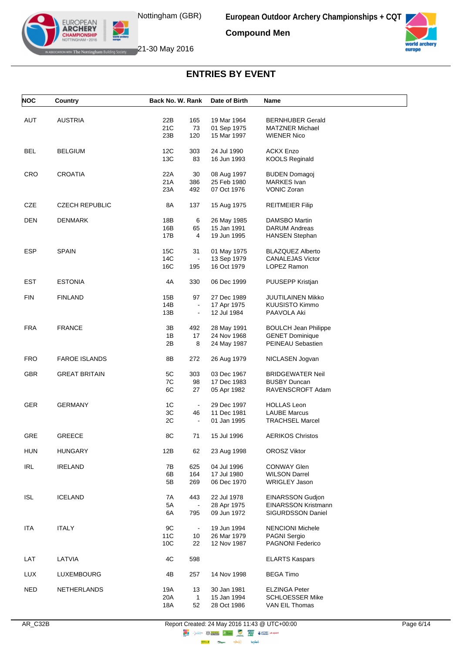**Compound Men**



EUROPEAN<br>**ARCHERY CHAMPIONSHIP ATTHE Nottingham Building Society** 21-30 May 2016

| <b>NOC</b> | <b>Country</b>        | Back No. W. Rank      | Date of Birth | Name                        |
|------------|-----------------------|-----------------------|---------------|-----------------------------|
|            |                       |                       |               |                             |
| AUT        | <b>AUSTRIA</b>        | 22B<br>165            | 19 Mar 1964   | <b>BERNHUBER Gerald</b>     |
|            |                       | 21C<br>73             | 01 Sep 1975   | <b>MATZNER Michael</b>      |
|            |                       | 23B<br>120            | 15 Mar 1997   | <b>WIENER Nico</b>          |
|            |                       |                       |               |                             |
| <b>BEL</b> | <b>BELGIUM</b>        | 12C<br>303            | 24 Jul 1990   | <b>ACKX Enzo</b>            |
|            |                       | 13C<br>83             | 16 Jun 1993   | <b>KOOLS Reginald</b>       |
|            |                       |                       |               |                             |
| <b>CRO</b> | <b>CROATIA</b>        | 22A<br>30             | 08 Aug 1997   | <b>BUDEN Domagoj</b>        |
|            |                       | 21A<br>386            | 25 Feb 1980   | <b>MARKES</b> Ivan          |
|            |                       | 23A<br>492            | 07 Oct 1976   | <b>VONIC Zoran</b>          |
|            |                       |                       |               |                             |
| CZE        | <b>CZECH REPUBLIC</b> | 8A<br>137             | 15 Aug 1975   | <b>REITMEIER Filip</b>      |
|            |                       |                       |               |                             |
| <b>DEN</b> | <b>DENMARK</b>        | 18B<br>6              | 26 May 1985   | DAMSBO Martin               |
|            |                       | 16B<br>65             | 15 Jan 1991   | <b>DARUM Andreas</b>        |
|            |                       | 17B<br>4              | 19 Jun 1995   | <b>HANSEN Stephan</b>       |
|            |                       |                       |               |                             |
| <b>ESP</b> | <b>SPAIN</b>          | 15C<br>31             | 01 May 1975   | <b>BLAZQUEZ Alberto</b>     |
|            |                       | 14C<br>$\blacksquare$ | 13 Sep 1979   | <b>CANALEJAS Victor</b>     |
|            |                       | 16C<br>195            | 16 Oct 1979   | <b>LOPEZ Ramon</b>          |
|            |                       |                       |               |                             |
| EST        | <b>ESTONIA</b>        | 4A<br>330             | 06 Dec 1999   | PUUSEPP Kristjan            |
|            |                       |                       |               |                             |
| <b>FIN</b> | <b>FINLAND</b>        | 15B<br>97             | 27 Dec 1989   | JUUTILAINEN Mikko           |
|            |                       | 14B<br>$\Box$         | 17 Apr 1975   | KUUSISTO Kimmo              |
|            |                       | 13B<br>$\blacksquare$ | 12 Jul 1984   | PAAVOLA Aki                 |
|            |                       |                       |               |                             |
| <b>FRA</b> | <b>FRANCE</b>         | 3B<br>492             | 28 May 1991   | <b>BOULCH Jean Philippe</b> |
|            |                       | 1B<br>17              | 24 Nov 1968   | <b>GENET Dominique</b>      |
|            |                       | 2B<br>8               | 24 May 1987   | PEINEAU Sebastien           |
|            |                       |                       |               |                             |
| <b>FRO</b> | <b>FAROE ISLANDS</b>  | 8Β<br>272             | 26 Aug 1979   | NICLASEN Jogvan             |
|            |                       |                       |               |                             |
| <b>GBR</b> | <b>GREAT BRITAIN</b>  | 5C<br>303             | 03 Dec 1967   | <b>BRIDGEWATER Neil</b>     |
|            |                       | 7C<br>98              | 17 Dec 1983   | <b>BUSBY Duncan</b>         |
|            |                       | 6C<br>27              | 05 Apr 1982   | RAVENSCROFT Adam            |
|            |                       |                       |               |                             |
| <b>GER</b> | <b>GERMANY</b>        | 1C<br>$\blacksquare$  | 29 Dec 1997   | <b>HOLLAS Leon</b>          |
|            |                       | 3C<br>46              | 11 Dec 1981   | <b>LAUBE Marcus</b>         |
|            |                       | 2C<br>$\blacksquare$  | 01 Jan 1995   | <b>TRACHSEL Marcel</b>      |
|            |                       |                       |               |                             |
| GRE        | <b>GREECE</b>         | 8C<br>71              | 15 Jul 1996   | <b>AERIKOS Christos</b>     |
|            |                       |                       |               |                             |
| <b>HUN</b> | <b>HUNGARY</b>        | 12B<br>62             | 23 Aug 1998   | <b>OROSZ Viktor</b>         |
|            |                       |                       |               |                             |
| <b>IRL</b> | <b>IRELAND</b>        | 7B<br>625             | 04 Jul 1996   | <b>CONWAY Glen</b>          |
|            |                       | 6B<br>164             | 17 Jul 1980   | <b>WILSON Darrel</b>        |
|            |                       | 5Β<br>269             | 06 Dec 1970   | <b>WRIGLEY Jason</b>        |
|            |                       |                       |               |                             |
| <b>ISL</b> | <b>ICELAND</b>        | 7A<br>443             | 22 Jul 1978   | <b>EINARSSON Gudjon</b>     |
|            |                       | 5A<br>$\Box$          | 28 Apr 1975   | <b>EINARSSON Kristmann</b>  |
|            |                       | 6A<br>795             | 09 Jun 1972   | SIGURDSSON Daniel           |
|            |                       |                       |               |                             |
| <b>ITA</b> | <b>ITALY</b>          | 9C<br>$\blacksquare$  | 19 Jun 1994   | <b>NENCIONI Michele</b>     |
|            |                       | 11C<br>10             | 26 Mar 1979   | <b>PAGNI Sergio</b>         |
|            |                       | 10C<br>22             | 12 Nov 1987   | PAGNONI Federico            |
|            |                       |                       |               |                             |
| LAT        | LATVIA                | 4C<br>598             |               | <b>ELARTS Kaspars</b>       |
|            |                       |                       |               |                             |
| <b>LUX</b> | LUXEMBOURG            | 4B<br>257             | 14 Nov 1998   | <b>BEGA Timo</b>            |
|            |                       |                       |               |                             |
| <b>NED</b> | NETHERLANDS           | 19A<br>13             | 30 Jan 1981   | <b>ELZINGA Peter</b>        |
|            |                       | 20A<br>$\mathbf{1}$   | 15 Jan 1994   | <b>SCHLOESSER Mike</b>      |
|            |                       | 52<br>18A             | 28 Oct 1986   | VAN EIL Thomas              |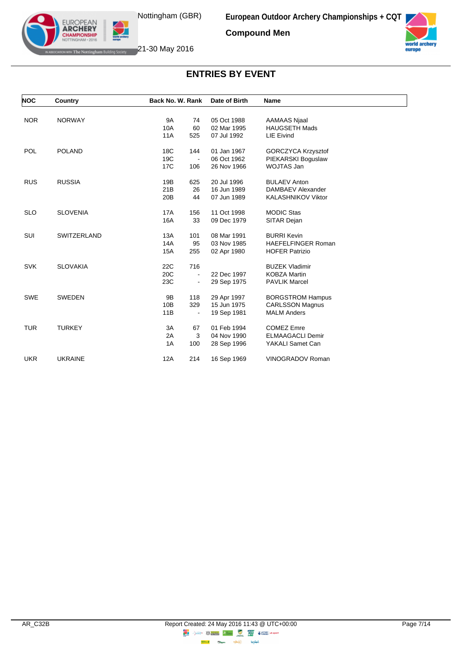**Compound Men**



EUROPEAN<br>**ARCHERY CHAMPIONSHIP ATTHE Nottingham Building Society** 21-30 May 2016

| <b>NOC</b> | Country            | Back No. W. Rank      | Date of Birth | <b>Name</b>               |
|------------|--------------------|-----------------------|---------------|---------------------------|
|            |                    |                       |               |                           |
| <b>NOR</b> | <b>NORWAY</b>      | <b>9A</b><br>74       | 05 Oct 1988   | <b>AAMAAS Njaal</b>       |
|            |                    | 10A<br>60             | 02 Mar 1995   | <b>HAUGSETH Mads</b>      |
|            |                    | 11A<br>525            | 07 Jul 1992   | <b>LIE Eivind</b>         |
| <b>POL</b> | <b>POLAND</b>      | 18C<br>144            | 01 Jan 1967   | GORCZYCA Krzysztof        |
|            |                    | 19C                   | 06 Oct 1962   | PIEKARSKI Boguslaw        |
|            |                    | 17C<br>106            | 26 Nov 1966   | WOJTAS Jan                |
| <b>RUS</b> | <b>RUSSIA</b>      | 19B<br>625            | 20 Jul 1996   | <b>BULAEV Anton</b>       |
|            |                    | 21B<br>26             | 16 Jun 1989   | DAMBAEV Alexander         |
|            |                    | 20 <sub>B</sub><br>44 | 07 Jun 1989   | KALASHNIKOV Viktor        |
| <b>SLO</b> | <b>SLOVENIA</b>    | <b>17A</b><br>156     | 11 Oct 1998   | <b>MODIC Stas</b>         |
|            |                    | 33<br>16A             | 09 Dec 1979   | SITAR Dejan               |
| SUI        | <b>SWITZERLAND</b> | 13A<br>101            | 08 Mar 1991   | <b>BURRI Kevin</b>        |
|            |                    | 95<br>14A             | 03 Nov 1985   | <b>HAEFELFINGER Roman</b> |
|            |                    | <b>15A</b><br>255     | 02 Apr 1980   | <b>HOFER Patrizio</b>     |
| <b>SVK</b> | <b>SLOVAKIA</b>    | 22C<br>716            |               | <b>BUZEK Vladimir</b>     |
|            |                    | 20C<br>$\blacksquare$ | 22 Dec 1997   | <b>KOBZA Martin</b>       |
|            |                    | 23C<br>-              | 29 Sep 1975   | <b>PAVLIK Marcel</b>      |
| <b>SWE</b> | <b>SWEDEN</b>      | 9B<br>118             | 29 Apr 1997   | <b>BORGSTROM Hampus</b>   |
|            |                    | 329<br>10B            | 15 Jun 1975   | <b>CARLSSON Magnus</b>    |
|            |                    | 11B                   | 19 Sep 1981   | <b>MALM Anders</b>        |
| <b>TUR</b> | <b>TURKEY</b>      | 3A<br>67              | 01 Feb 1994   | <b>COMEZ Emre</b>         |
|            |                    | 2A<br>3               | 04 Nov 1990   | <b>ELMAAGACLI Demir</b>   |
|            |                    | 1A<br>100             | 28 Sep 1996   | YAKALI Samet Can          |
| <b>UKR</b> | <b>UKRAINE</b>     | 12A<br>214            | 16 Sep 1969   | <b>VINOGRADOV Roman</b>   |
|            |                    |                       |               |                           |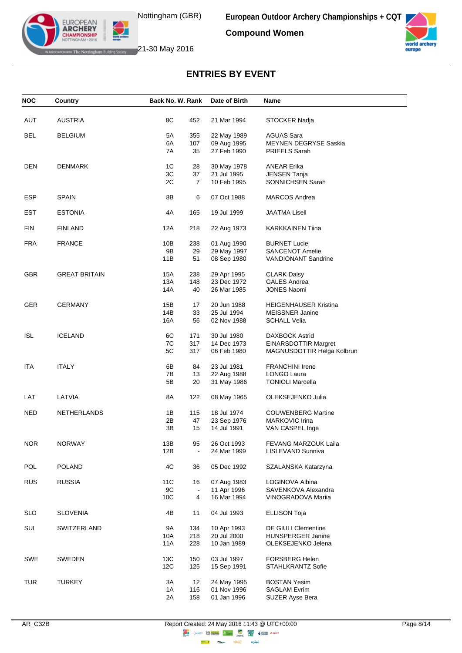**Compound Women**



EUROPEAN<br>**ARCHERY CHAMPIONSHIP ATTHE Nottingham Building Society** 21-30 May 2016

# **ENTRIES BY EVENT**

| <b>NOC</b> | Country              | Back No. W. Rank |                      | Date of Birth              | Name                                   |
|------------|----------------------|------------------|----------------------|----------------------------|----------------------------------------|
|            |                      |                  |                      |                            |                                        |
| AUT        | <b>AUSTRIA</b>       | 8C               | 452                  | 21 Mar 1994                | STOCKER Nadja                          |
| <b>BEL</b> | <b>BELGIUM</b>       | 5A               | 355                  | 22 May 1989                | AGUAS Sara                             |
|            |                      | 6A               | 107                  | 09 Aug 1995                | <b>MEYNEN DEGRYSE Saskia</b>           |
|            |                      | 7A               | 35                   | 27 Feb 1990                | PRIEELS Sarah                          |
| <b>DEN</b> | <b>DENMARK</b>       | 1C               | 28                   | 30 May 1978                | <b>ANEAR Erika</b>                     |
|            |                      | 3C               | 37                   | 21 Jul 1995                | <b>JENSEN Tanja</b>                    |
|            |                      | 2C               | $\overline{7}$       | 10 Feb 1995                | SONNICHSEN Sarah                       |
| <b>ESP</b> | <b>SPAIN</b>         | 8B               | 6                    | 07 Oct 1988                | <b>MARCOS Andrea</b>                   |
|            |                      |                  |                      |                            |                                        |
| <b>EST</b> | <b>ESTONIA</b>       | 4A               | 165                  | 19 Jul 1999                | <b>JAATMA Lisell</b>                   |
| <b>FIN</b> | <b>FINLAND</b>       | 12A              | 218                  | 22 Aug 1973                | <b>KARKKAINEN Tiina</b>                |
| <b>FRA</b> | <b>FRANCE</b>        | 10B              | 238                  | 01 Aug 1990                | <b>BURNET Lucie</b>                    |
|            |                      | 9B               | 29                   | 29 May 1997                | <b>SANCENOT Amelie</b>                 |
|            |                      | 11B              | 51                   | 08 Sep 1980                | <b>VANDIONANT Sandrine</b>             |
| <b>GBR</b> | <b>GREAT BRITAIN</b> | 15A              | 238                  | 29 Apr 1995                | <b>CLARK Daisy</b>                     |
|            |                      | 13A              | 148                  | 23 Dec 1972                | <b>GALES Andrea</b>                    |
|            |                      | 14A              | 40                   | 26 Mar 1985                | <b>JONES Naomi</b>                     |
| <b>GER</b> | <b>GERMANY</b>       | 15B              | 17                   | 20 Jun 1988                | <b>HEIGENHAUSER Kristina</b>           |
|            |                      | 14B              | 33                   | 25 Jul 1994                | <b>MEISSNER Janine</b>                 |
|            |                      | 16A              | 56                   | 02 Nov 1988                | <b>SCHALL Velia</b>                    |
| <b>ISL</b> | <b>ICELAND</b>       | 6C               | 171                  | 30 Jul 1980                | DAXBOCK Astrid                         |
|            |                      | 7C               | 317                  | 14 Dec 1973                | <b>EINARSDOTTIR Margret</b>            |
|            |                      | 5C               | 317                  | 06 Feb 1980                | MAGNUSDOTTIR Helga Kolbrun             |
| <b>ITA</b> | <b>ITALY</b>         | 6B               | 84                   | 23 Jul 1981                | <b>FRANCHINI Irene</b>                 |
|            |                      | 7B               | 13                   | 22 Aug 1988                | LONGO Laura                            |
|            |                      | 5Β               | 20                   | 31 May 1986                | <b>TONIOLI Marcella</b>                |
| LAT        | LATVIA               | 8A               | 122                  | 08 May 1965                | OLEKSEJENKO Julia                      |
| <b>NED</b> | <b>NETHERLANDS</b>   | 1B               | 115                  | 18 Jul 1974                | <b>COUWENBERG Martine</b>              |
|            |                      | 2Β               | 47                   | 23 Sep 1976                | MARKOVIC Irina                         |
|            |                      | 3B               | 15                   | 14 Jul 1991                | VAN CASPEL Inge                        |
| <b>NOR</b> | <b>NORWAY</b>        | 13B              | 95                   | 26 Oct 1993                | FEVANG MARZOUK Laila                   |
|            |                      | 12B              |                      | 24 Mar 1999                | LISLEVAND Sunniva                      |
| POL        | <b>POLAND</b>        | 4C               | 36                   | 05 Dec 1992                | SZALANSKA Katarzyna                    |
|            |                      |                  |                      |                            |                                        |
| <b>RUS</b> | <b>RUSSIA</b>        | 11C<br>9C        | 16<br>$\blacksquare$ | 07 Aug 1983<br>11 Apr 1996 | LOGINOVA Albina<br>SAVENKOVA Alexandra |
|            |                      | 10 <sub>C</sub>  | 4                    | 16 Mar 1994                | VINOGRADOVA Mariia                     |
|            |                      |                  |                      |                            |                                        |
| <b>SLO</b> | <b>SLOVENIA</b>      | 4B               | 11                   | 04 Jul 1993                | <b>ELLISON Toja</b>                    |
| SUI        | SWITZERLAND          | <b>9A</b>        | 134                  | 10 Apr 1993                | DE GIULI Clementine                    |
|            |                      | 10A              | 218                  | 20 Jul 2000                | <b>HUNSPERGER Janine</b>               |
|            |                      | 11A              | 228                  | 10 Jan 1989                | OLEKSEJENKO Jelena                     |
| SWE        | SWEDEN               | 13C              | 150                  | 03 Jul 1997                | <b>FORSBERG Helen</b>                  |
|            |                      | 12C              | 125                  | 15 Sep 1991                | STAHLKRANTZ Sofie                      |
| <b>TUR</b> | TURKEY               | 3A               | 12 <sup>°</sup>      | 24 May 1995                | <b>BOSTAN Yesim</b>                    |
|            |                      | 1A               | 116                  | 01 Nov 1996                | <b>SAGLAM Evrim</b>                    |
|            |                      | 2A               | 158                  | 01 Jan 1996                | SUZER Ayse Bera                        |
|            |                      |                  |                      |                            |                                        |

 $\Rightarrow \circledS$ 

**Citigm** 

**Highway** 

lenseo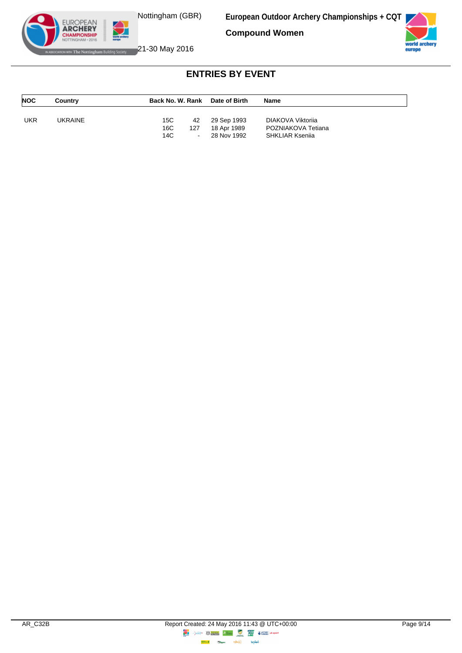Nottingham (GBR)

**European Outdoor Archery Championships + CQT**

**Compound Women**



EUROPEAN<br>**ARCHERY CHAMPIONSHIP ATTHE Nottingham Building Society** 21-30 May 2016

| <b>NOC</b> | Country | Back No. W. Rank                         | Date of Birth                             | <b>Name</b>                                                       |  |
|------------|---------|------------------------------------------|-------------------------------------------|-------------------------------------------------------------------|--|
| UKR        | UKRAINE | 15C<br>42<br>16C<br>127<br>14C<br>$\sim$ | 29 Sep 1993<br>18 Apr 1989<br>28 Nov 1992 | DIAKOVA Viktorija<br>POZNIAKOVA Tetiana<br><b>SHKLIAR Ksenija</b> |  |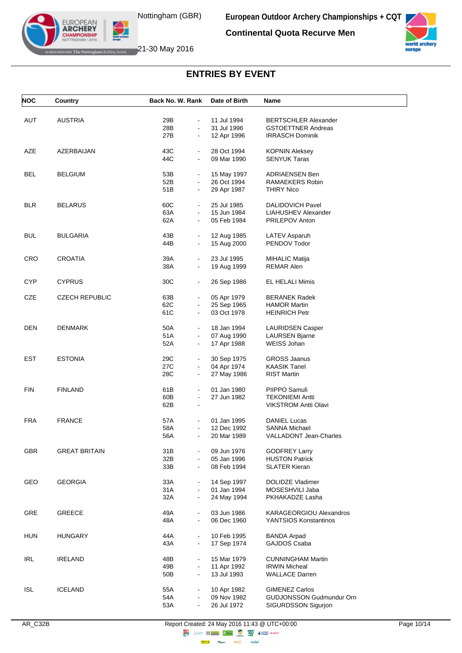**Continental Quota Recurve Men**



EUROPEAN<br>**ARCHERY MPIONSHII** 

WHERE Notting ham Building Society **21-30 May 2016** 

| <b>NOC</b> | <b>Country</b>        | Back No. W. Rank                  | Date of Birth | Name                            |
|------------|-----------------------|-----------------------------------|---------------|---------------------------------|
|            |                       |                                   |               |                                 |
| <b>AUT</b> | <b>AUSTRIA</b>        | 29B                               | 11 Jul 1994   | <b>BERTSCHLER Alexander</b>     |
|            |                       | 28B<br>$\blacksquare$             | 31 Jul 1996   | <b>GSTOETTNER Andreas</b>       |
|            |                       | 27B                               | 12 Apr 1996   | <b>IRRASCH Dominik</b>          |
|            |                       |                                   |               |                                 |
| AZE        | AZERBAIJAN            | 43C<br>$\blacksquare$             | 28 Oct 1994   | <b>KOPNIN Aleksey</b>           |
|            |                       | 44C                               | 09 Mar 1990   | <b>SENYUK Taras</b>             |
|            |                       |                                   |               |                                 |
| BEL        | <b>BELGIUM</b>        | 53B<br>$\blacksquare$             | 15 May 1997   | <b>ADRIAENSEN Ben</b>           |
|            |                       | 52B<br>$\blacksquare$             | 26 Oct 1994   | RAMAEKERS Robin                 |
|            |                       | 51 <sub>B</sub><br>$\blacksquare$ | 29 Apr 1987   | <b>THIRY Nico</b>               |
|            |                       |                                   |               |                                 |
| <b>BLR</b> | <b>BELARUS</b>        | 60C<br>$\blacksquare$             | 25 Jul 1985   | <b>DALIDOVICH Pavel</b>         |
|            |                       | 63A<br>$\blacksquare$             | 15 Jun 1984   | LIAHUSHEV Alexander             |
|            |                       | 62A<br>$\blacksquare$             | 05 Feb 1984   | PRILEPOV Anton                  |
|            |                       |                                   |               |                                 |
| <b>BUL</b> | <b>BULGARIA</b>       | 43B<br>$\blacksquare$             | 12 Aug 1985   | <b>LATEV Asparuh</b>            |
|            |                       | 44B<br>$\blacksquare$             | 15 Aug 2000   | PENDOV Todor                    |
|            |                       |                                   |               |                                 |
| CRO        | <b>CROATIA</b>        | 39A<br>$\blacksquare$             | 23 Jul 1995   | <b>MIHALIC Matija</b>           |
|            |                       | 38A<br>$\blacksquare$             | 19 Aug 1999   | <b>REMAR Alen</b>               |
|            |                       |                                   |               |                                 |
| <b>CYP</b> | <b>CYPRUS</b>         | 30C<br>$\blacksquare$             | 26 Sep 1986   | EL HELALI Mimis                 |
|            |                       |                                   |               |                                 |
| CZE        | <b>CZECH REPUBLIC</b> | 63B                               | 05 Apr 1979   | <b>BERANEK Radek</b>            |
|            |                       | 62C<br>$\blacksquare$             | 25 Sep 1965   | <b>HAMOR Martin</b>             |
|            |                       | 61C<br>$\blacksquare$             | 03 Oct 1978   | <b>HEINRICH Petr</b>            |
|            |                       |                                   |               |                                 |
| DEN        | <b>DENMARK</b>        | 50A<br>$\blacksquare$             | 18 Jan 1994   | <b>LAURIDSEN Casper</b>         |
|            |                       | 51A                               | 07 Aug 1990   | <b>LAURSEN Bjarne</b>           |
|            |                       | 52A<br>$\blacksquare$             | 17 Apr 1988   | <b>WEISS Johan</b>              |
|            |                       |                                   |               |                                 |
| EST        | <b>ESTONIA</b>        | 29C<br>$\blacksquare$             | 30 Sep 1975   | <b>GROSS Jaanus</b>             |
|            |                       | 27C<br>$\blacksquare$             | 04 Apr 1974   | <b>KAASIK Tanel</b>             |
|            |                       | 28C<br>$\blacksquare$             | 27 May 1986   | <b>RIST Martin</b>              |
|            |                       |                                   |               |                                 |
| <b>FIN</b> | <b>FINLAND</b>        | 61B<br>$\blacksquare$             | 01 Jan 1980   | PIIPPO Samuli                   |
|            |                       | 60B<br>$\blacksquare$             | 27 Jun 1982   | TEKONIEMI Antti                 |
|            |                       | 62B<br>$\blacksquare$             |               | <b>VIKSTROM Antti Olavi</b>     |
|            |                       |                                   |               |                                 |
| <b>FRA</b> | <b>FRANCE</b>         | 57A<br>$\blacksquare$             | 01 Jan 1995   | DANIEL Lucas                    |
|            |                       | 58A                               | 12 Dec 1992   | <b>SANNA Michael</b>            |
|            |                       | 56A<br>$\blacksquare$             | 20 Mar 1989   | <b>VALLADONT Jean-Charles</b>   |
|            |                       |                                   |               |                                 |
| <b>GBR</b> | <b>GREAT BRITAIN</b>  | 31B                               | 09 Jun 1976   | <b>GODFREY Larry</b>            |
|            |                       | 32B<br>$\blacksquare$             | 05 Jan 1996   | <b>HUSTON Patrick</b>           |
|            |                       | 33B                               | 08 Feb 1994   | <b>SLATER Kieran</b>            |
|            |                       |                                   |               |                                 |
| GEO        | <b>GEORGIA</b>        | 33A<br>$\blacksquare$             | 14 Sep 1997   | <b>DOLIDZE Vladimer</b>         |
|            |                       | 31A                               | 01 Jan 1994   | MOSESHVILI Jaba                 |
|            |                       | 32A                               | 24 May 1994   | PKHAKADZE Lasha                 |
|            |                       |                                   |               |                                 |
| GRE        | <b>GREECE</b>         | 49A                               | 03 Jun 1986   | KARAGEORGIOU Alexandros         |
|            |                       | 48A<br>$\blacksquare$             | 06 Dec 1960   | YANTSIOS Konstantinos           |
|            |                       |                                   |               |                                 |
| <b>HUN</b> | <b>HUNGARY</b>        | 44A<br>$\blacksquare$             | 10 Feb 1995   | <b>BANDA Arpad</b>              |
|            |                       | 43A<br>$\blacksquare$             | 17 Sep 1974   | GAJDOS Csaba                    |
|            |                       |                                   |               |                                 |
| IRL        | <b>IRELAND</b>        | 48B                               | 15 Mar 1979   | <b>CUNNINGHAM Martin</b>        |
|            |                       | 49B<br>$\blacksquare$             | 11 Apr 1992   | <b>IRWIN Micheal</b>            |
|            |                       | 50B<br>$\blacksquare$             | 13 Jul 1993   | <b>WALLACE Darren</b>           |
|            |                       |                                   |               |                                 |
| <b>ISL</b> | <b>ICELAND</b>        | 55A<br>$\blacksquare$             | 10 Apr 1982   | <b>GIMENEZ Carlos</b>           |
|            |                       | 54A                               | 09 Nov 1982   | <b>GUDJONSSON Gudmundur Orn</b> |
|            |                       | 53A                               | 26 Jul 1972   | SIGURDSSON Sigurjon             |
|            |                       |                                   |               |                                 |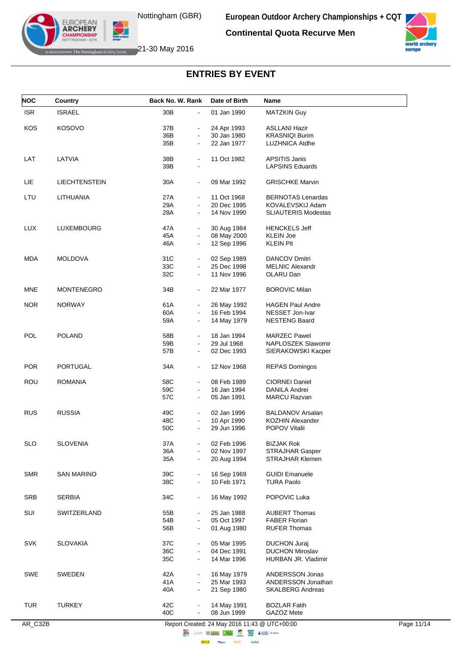**Continental Quota Recurve Men**



EUROPEAN<br>**ARCHERY CHAMPIONSHIP EXAMPLE The Nottingham Building Society** 21-30 May 2016

| <b>NOC</b> | Country              | Back No. W. Rank                        | Date of Birth | <b>Name</b>                |  |
|------------|----------------------|-----------------------------------------|---------------|----------------------------|--|
| <b>ISR</b> | <b>ISRAEL</b>        | 30B<br>$\blacksquare$                   | 01 Jan 1990   | <b>MATZKIN Guy</b>         |  |
| KOS        | <b>KOSOVO</b>        | 37B                                     | 24 Apr 1993   | <b>ASLLANI Hazir</b>       |  |
|            |                      | $\blacksquare$<br>36B<br>$\blacksquare$ | 30 Jan 1980   | <b>KRASNIQI Burim</b>      |  |
|            |                      |                                         | 22 Jan 1977   |                            |  |
|            |                      | 35B<br>$\blacksquare$                   |               | LUZHNICA Atdhe             |  |
| LAT        | LATVIA               | 38B<br>$\blacksquare$                   | 11 Oct 1982   | <b>APSITIS Janis</b>       |  |
|            |                      | 39B                                     |               | <b>LAPSINS Eduards</b>     |  |
| LIE        | <b>LIECHTENSTEIN</b> | 30A<br>$\blacksquare$                   | 09 Mar 1992   | <b>GRISCHKE Marvin</b>     |  |
|            |                      |                                         |               |                            |  |
| LTU        | LITHUANIA            | 27A                                     | 11 Oct 1968   | <b>BERNOTAS Lenardas</b>   |  |
|            |                      | 29A<br>$\blacksquare$                   | 20 Dec 1995   | KOVALEVSKIJ Adam           |  |
|            |                      | 28A                                     | 14 Nov 1990   | <b>SLIAUTERIS Modestas</b> |  |
| <b>LUX</b> | LUXEMBOURG           | 47A<br>$\blacksquare$                   | 30 Aug 1984   | <b>HENCKELS Jeff</b>       |  |
|            |                      | 45A<br>$\blacksquare$                   | 08 May 2000   | <b>KLEIN Joe</b>           |  |
|            |                      | 46A<br>$\blacksquare$                   | 12 Sep 1996   | <b>KLEIN Pit</b>           |  |
|            |                      |                                         |               |                            |  |
| <b>MDA</b> | <b>MOLDOVA</b>       | 31C<br>$\blacksquare$                   | 02 Sep 1989   | <b>DANCOV Dmitri</b>       |  |
|            |                      | 33C<br>$\blacksquare$                   | 25 Dec 1998   | <b>MELNIC Alexandr</b>     |  |
|            |                      | 32C<br>$\blacksquare$                   | 11 Nov 1996   | OLARU Dan                  |  |
| <b>MNE</b> | MONTENEGRO           | 34B<br>$\blacksquare$                   | 22 Mar 1977   | <b>BOROVIC Milan</b>       |  |
|            |                      |                                         |               |                            |  |
| <b>NOR</b> | <b>NORWAY</b>        | 61A<br>$\blacksquare$                   | 26 May 1992   | <b>HAGEN Paul Andre</b>    |  |
|            |                      | 60A<br>$\blacksquare$                   | 16 Feb 1994   | NESSET Jon-Ivar            |  |
|            |                      | 59A<br>$\blacksquare$                   | 14 May 1979   | <b>NESTENG Baard</b>       |  |
| POL        | <b>POLAND</b>        | 58B<br>$\blacksquare$                   | 18 Jan 1994   | <b>MARZEC Pawel</b>        |  |
|            |                      | 59B<br>$\blacksquare$                   | 29 Jul 1968   | NAPLOSZEK Slawomir         |  |
|            |                      | 57B<br>$\blacksquare$                   | 02 Dec 1993   | SIERAKOWSKI Kacper         |  |
|            |                      |                                         |               |                            |  |
| <b>POR</b> | <b>PORTUGAL</b>      | 34A<br>$\blacksquare$                   | 12 Nov 1968   | <b>REPAS Domingos</b>      |  |
| <b>ROU</b> | ROMANIA              | 58C<br>$\blacksquare$                   | 08 Feb 1989   | <b>CIORNEI Daniel</b>      |  |
|            |                      | 59C<br>$\blacksquare$                   | 16 Jan 1994   | DANILA Andrei              |  |
|            |                      | 57C<br>$\blacksquare$                   | 05 Jan 1991   | <b>MARCU Razvan</b>        |  |
|            |                      |                                         |               |                            |  |
| <b>RUS</b> | <b>RUSSIA</b>        | 49C<br>$\blacksquare$                   | 02 Jan 1996   | <b>BALDANOV Arsalan</b>    |  |
|            |                      | 48C<br>$\blacksquare$                   | 10 Apr 1990   | <b>KOZHIN Alexander</b>    |  |
|            |                      | 50C                                     | 29 Jun 1996   | POPOV Vitalii              |  |
| SLO        | <b>SLOVENIA</b>      | 37A                                     | 02 Feb 1996   | <b>BIZJAK Rok</b>          |  |
|            |                      | 36A                                     | 02 Nov 1997   | <b>STRAJHAR Gasper</b>     |  |
|            |                      | 35A                                     | 20 Aug 1994   | <b>STRAJHAR Klemen</b>     |  |
|            |                      |                                         |               |                            |  |
| <b>SMR</b> | <b>SAN MARINO</b>    | 39C<br>$\blacksquare$                   | 16 Sep 1969   | <b>GUIDI Emanuele</b>      |  |
|            |                      | 38C                                     | 10 Feb 1971   | <b>TURA Paolo</b>          |  |
| <b>SRB</b> | <b>SERBIA</b>        | 34C<br>$\blacksquare$                   | 16 May 1992   | POPOVIC Luka               |  |
|            |                      |                                         |               |                            |  |
| SUI        | SWITZERLAND          | 55B<br>$\blacksquare$                   | 25 Jan 1988   | <b>AUBERT Thomas</b>       |  |
|            |                      | 54B<br>$\blacksquare$                   | 05 Oct 1997   | <b>FABER Florian</b>       |  |
|            |                      | 56B<br>$\blacksquare$                   | 01 Aug 1980   | <b>RUFER Thomas</b>        |  |
| <b>SVK</b> | <b>SLOVAKIA</b>      | 37C<br>$\blacksquare$                   | 05 Mar 1995   | <b>DUCHON Juraj</b>        |  |
|            |                      | 36C                                     | 04 Dec 1991   | <b>DUCHON Miroslav</b>     |  |
|            |                      | 35C<br>$\blacksquare$                   | 14 Mar 1996   | HURBAN JR. Vladimir        |  |
|            |                      |                                         |               |                            |  |
| SWE        | <b>SWEDEN</b>        | 42A                                     | 16 May 1979   | ANDERSSON Jonas            |  |
|            |                      | 41 A<br>$\blacksquare$                  | 25 Mar 1993   | ANDERSSON Jonathan         |  |
|            |                      | 40A                                     | 21 Sep 1980   | <b>SKALBERG Andreas</b>    |  |
| <b>TUR</b> | <b>TURKEY</b>        | 42C<br>$\blacksquare$                   | 14 May 1991   | <b>BOZLAR Fatih</b>        |  |
|            |                      | 40C                                     | 08 Jun 1999   | GAZOZ Mete                 |  |
|            |                      |                                         |               |                            |  |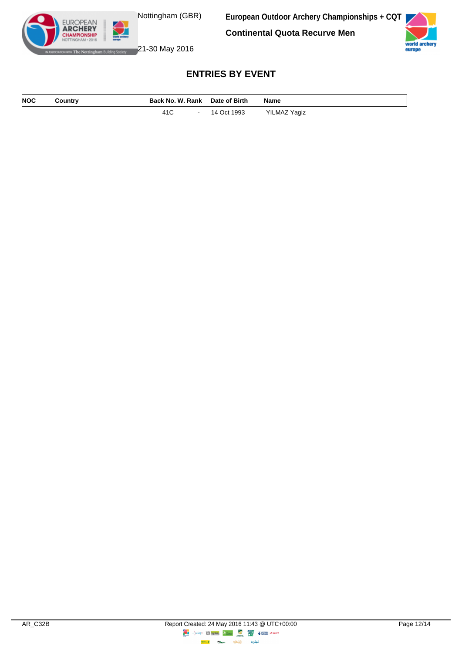Nottingham (GBR)

**European Outdoor Archery Championships + CQT**

**Continental Quota Recurve Men**



WHERE Notting ham Building Society **21-30 May 2016** 

EUROPEAN<br>**ARCHERY MPIONSHII** 

| NOC | Country | Back No. W. Rank Date of Birth |               | <b>Name</b>  |
|-----|---------|--------------------------------|---------------|--------------|
|     |         | 41C                            | - 14 Oct 1993 | YILMAZ Yagiz |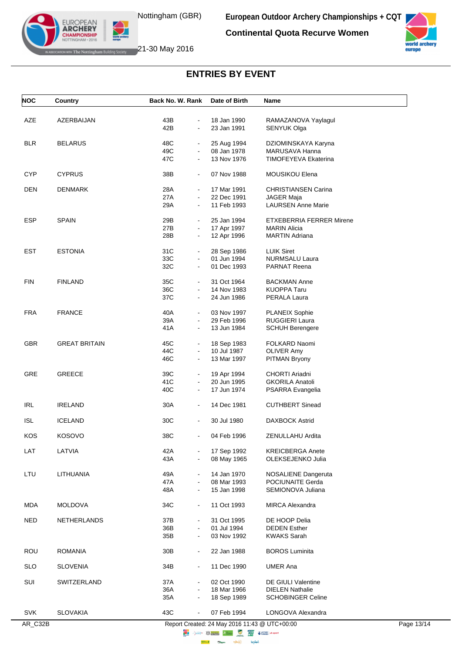**Continental Quota Recurve Women**



with The Nottingham Building Society 21-30 May 2016

EUROPEAN<br>**ARCHERY MPIONSHIP** 

| <b>NOC</b> | Country              | Back No. W. Rank                               | Date of Birth              | Name                                     |
|------------|----------------------|------------------------------------------------|----------------------------|------------------------------------------|
| AZE        | AZERBAIJAN           | 43B<br>$\blacksquare$                          | 18 Jan 1990                | RAMAZANOVA Yaylagul                      |
|            |                      | 42B<br>$\overline{a}$                          | 23 Jan 1991                | SENYUK Olga                              |
|            |                      |                                                |                            |                                          |
| <b>BLR</b> | <b>BELARUS</b>       | 48C<br>$\qquad \qquad \blacksquare$            | 25 Aug 1994                | DZIOMINSKAYA Karyna                      |
|            |                      | 49C<br>$\blacksquare$                          | 08 Jan 1978                | MARUSAVA Hanna                           |
|            |                      | 47C<br>$\blacksquare$                          | 13 Nov 1976                | TIMOFEYEVA Ekaterina                     |
| <b>CYP</b> | <b>CYPRUS</b>        | 38B<br>$\blacksquare$                          | 07 Nov 1988                | MOUSIKOU Elena                           |
| <b>DEN</b> | <b>DENMARK</b>       | 28A<br>$\blacksquare$                          | 17 Mar 1991                | <b>CHRISTIANSEN Carina</b>               |
|            |                      | 27A<br>$\blacksquare$                          | 22 Dec 1991                | <b>JAGER Maja</b>                        |
|            |                      | 29A<br>$\blacksquare$                          | 11 Feb 1993                | <b>LAURSEN Anne Marie</b>                |
| ESP        | <b>SPAIN</b>         | 29B<br>$\blacksquare$                          | 25 Jan 1994                | ETXEBERRIA FERRER Mirene                 |
|            |                      | 27B<br>$\blacksquare$                          | 17 Apr 1997                | <b>MARIN Alicia</b>                      |
|            |                      | 28B<br>$\blacksquare$                          | 12 Apr 1996                | <b>MARTIN Adriana</b>                    |
| <b>EST</b> | <b>ESTONIA</b>       | 31C<br>$\blacksquare$                          |                            | <b>LUIK Siret</b>                        |
|            |                      | 33C<br>$\overline{a}$                          | 28 Sep 1986<br>01 Jun 1994 | <b>NURMSALU Laura</b>                    |
|            |                      | 32C<br>$\blacksquare$                          | 01 Dec 1993                | PARNAT Reena                             |
|            |                      |                                                |                            |                                          |
| <b>FIN</b> | <b>FINLAND</b>       | 35C<br>$\blacksquare$                          | 31 Oct 1964                | <b>BACKMAN Anne</b>                      |
|            |                      | 36C<br>$\blacksquare$                          | 14 Nov 1983                | <b>KUOPPA Taru</b>                       |
|            |                      | 37C<br>$\blacksquare$                          | 24 Jun 1986                | PERALA Laura                             |
| <b>FRA</b> | <b>FRANCE</b>        | 40A<br>$\blacksquare$                          | 03 Nov 1997                | <b>PLANEIX Sophie</b>                    |
|            |                      | 39A<br>$\blacksquare$                          | 29 Feb 1996                | <b>RUGGIERI Laura</b>                    |
|            |                      | 41A<br>$\blacksquare$                          | 13 Jun 1984                | <b>SCHUH Berengere</b>                   |
| <b>GBR</b> | <b>GREAT BRITAIN</b> | 45C<br>$\blacksquare$                          | 18 Sep 1983                | FOLKARD Naomi                            |
|            |                      | 44C<br>$\blacksquare$                          | 10 Jul 1987                | <b>OLIVER Amy</b>                        |
|            |                      | 46C<br>$\blacksquare$                          | 13 Mar 1997                | PITMAN Bryony                            |
|            |                      |                                                |                            |                                          |
| <b>GRE</b> | <b>GREECE</b>        | 39C<br>$\blacksquare$<br>41C<br>$\blacksquare$ | 19 Apr 1994<br>20 Jun 1995 | CHORTI Ariadni<br><b>GKORILA Anatoli</b> |
|            |                      | 40C<br>$\blacksquare$                          | 17 Jun 1974                | PSARRA Evangelia                         |
|            |                      |                                                |                            |                                          |
| <b>IRL</b> | <b>IRELAND</b>       | 30A<br>$\blacksquare$                          | 14 Dec 1981                | <b>CUTHBERT Sinead</b>                   |
| <b>ISL</b> | <b>ICELAND</b>       | 30C<br>$\blacksquare$                          | 30 Jul 1980                | <b>DAXBOCK Astrid</b>                    |
| <b>KOS</b> | <b>KOSOVO</b>        | 38C<br>$\blacksquare$                          | 04 Feb 1996                | ZENULLAHU Ardita                         |
| LAT        | LATVIA               | 42A<br>$\blacksquare$                          | 17 Sep 1992                | <b>KREICBERGA Anete</b>                  |
|            |                      | 43A                                            | 08 May 1965                | OLEKSEJENKO Julia                        |
| LTU        | LITHUANIA            | 49A<br>$\blacksquare$                          | 14 Jan 1970                |                                          |
|            |                      | 47A<br>$\blacksquare$                          | 08 Mar 1993                | NOSALIENE Dangeruta<br>POCIUNAITE Gerda  |
|            |                      | 48A<br>$\blacksquare$                          | 15 Jan 1998                | SEMIONOVA Juliana                        |
| <b>MDA</b> | <b>MOLDOVA</b>       | 34C<br>$\blacksquare$                          | 11 Oct 1993                | <b>MIRCA Alexandra</b>                   |
|            |                      |                                                |                            |                                          |
| <b>NED</b> | <b>NETHERLANDS</b>   | 37B<br>$\blacksquare$                          | 31 Oct 1995                | DE HOOP Delia                            |
|            |                      | 36B<br>$\blacksquare$                          | 01 Jul 1994                | <b>DEDEN Esther</b>                      |
|            |                      | 35B<br>$\blacksquare$                          | 03 Nov 1992                | <b>KWAKS Sarah</b>                       |
| ROU        | <b>ROMANIA</b>       | 30 <sub>B</sub><br>$\blacksquare$              | 22 Jan 1988                | <b>BOROS Luminita</b>                    |
| <b>SLO</b> | <b>SLOVENIA</b>      | 34B<br>$\blacksquare$                          | 11 Dec 1990                | <b>UMER Ana</b>                          |
| SUI        | SWITZERLAND          | 37A                                            | 02 Oct 1990                | DE GIULI Valentine                       |
|            |                      | 36A<br>$\blacksquare$                          | 18 Mar 1966                | <b>DIELEN Nathalie</b>                   |
|            |                      | 35A<br>$\blacksquare$                          | 18 Sep 1989                | <b>SCHOBINGER Celine</b>                 |
| <b>SVK</b> | <b>SLOVAKIA</b>      | 43C<br>$\blacksquare$                          | 07 Feb 1994                | LONGOVA Alexandra                        |
|            |                      |                                                |                            |                                          |